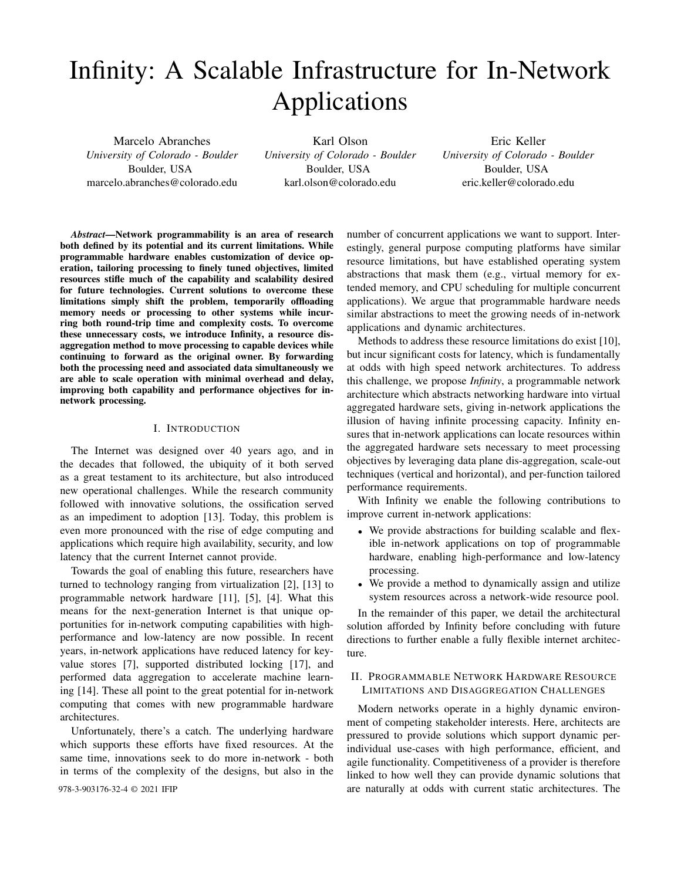# Infinity: A Scalable Infrastructure for In-Network Applications

Marcelo Abranches *University of Colorado - Boulder* Boulder, USA marcelo.abranches@colorado.edu

Karl Olson *University of Colorado - Boulder* Boulder, USA karl.olson@colorado.edu

Eric Keller *University of Colorado - Boulder* Boulder, USA eric.keller@colorado.edu

*Abstract*—Network programmability is an area of research both defined by its potential and its current limitations. While programmable hardware enables customization of device operation, tailoring processing to finely tuned objectives, limited resources stifle much of the capability and scalability desired for future technologies. Current solutions to overcome these limitations simply shift the problem, temporarily offloading memory needs or processing to other systems while incurring both round-trip time and complexity costs. To overcome these unnecessary costs, we introduce Infinity, a resource disaggregation method to move processing to capable devices while continuing to forward as the original owner. By forwarding both the processing need and associated data simultaneously we are able to scale operation with minimal overhead and delay, improving both capability and performance objectives for innetwork processing.

#### I. INTRODUCTION

The Internet was designed over 40 years ago, and in the decades that followed, the ubiquity of it both served as a great testament to its architecture, but also introduced new operational challenges. While the research community followed with innovative solutions, the ossification served as an impediment to adoption [13]. Today, this problem is even more pronounced with the rise of edge computing and applications which require high availability, security, and low latency that the current Internet cannot provide.

Towards the goal of enabling this future, researchers have turned to technology ranging from virtualization [2], [13] to programmable network hardware [11], [5], [4]. What this means for the next-generation Internet is that unique opportunities for in-network computing capabilities with highperformance and low-latency are now possible. In recent years, in-network applications have reduced latency for keyvalue stores [7], supported distributed locking [17], and performed data aggregation to accelerate machine learning [14]. These all point to the great potential for in-network computing that comes with new programmable hardware architectures.

Unfortunately, there's a catch. The underlying hardware which supports these efforts have fixed resources. At the same time, innovations seek to do more in-network - both in terms of the complexity of the designs, but also in the

number of concurrent applications we want to support. Interestingly, general purpose computing platforms have similar resource limitations, but have established operating system abstractions that mask them (e.g., virtual memory for extended memory, and CPU scheduling for multiple concurrent applications). We argue that programmable hardware needs similar abstractions to meet the growing needs of in-network applications and dynamic architectures.

Methods to address these resource limitations do exist [10], but incur significant costs for latency, which is fundamentally at odds with high speed network architectures. To address this challenge, we propose *Infinity*, a programmable network architecture which abstracts networking hardware into virtual aggregated hardware sets, giving in-network applications the illusion of having infinite processing capacity. Infinity ensures that in-network applications can locate resources within the aggregated hardware sets necessary to meet processing objectives by leveraging data plane dis-aggregation, scale-out techniques (vertical and horizontal), and per-function tailored performance requirements.

With Infinity we enable the following contributions to improve current in-network applications:

- We provide abstractions for building scalable and flexible in-network applications on top of programmable hardware, enabling high-performance and low-latency processing.
- We provide a method to dynamically assign and utilize system resources across a network-wide resource pool.

In the remainder of this paper, we detail the architectural solution afforded by Infinity before concluding with future directions to further enable a fully flexible internet architecture.

## II. PROGRAMMABLE NETWORK HARDWARE RESOURCE LIMITATIONS AND DISAGGREGATION CHALLENGES

Modern networks operate in a highly dynamic environment of competing stakeholder interests. Here, architects are pressured to provide solutions which support dynamic perindividual use-cases with high performance, efficient, and agile functionality. Competitiveness of a provider is therefore linked to how well they can provide dynamic solutions that 978-3-903176-32-4 © 2021 IFIP are naturally at odds with current static architectures. The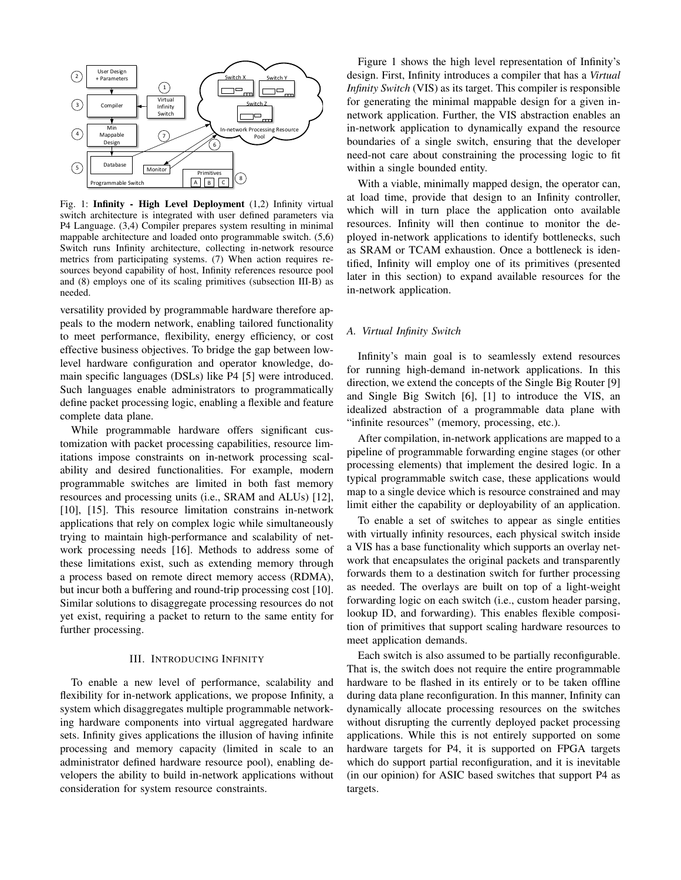

Fig. 1: Infinity - High Level Deployment (1,2) Infinity virtual switch architecture is integrated with user defined parameters via P4 Language. (3,4) Compiler prepares system resulting in minimal mappable architecture and loaded onto programmable switch. (5,6) Switch runs Infinity architecture, collecting in-network resource metrics from participating systems. (7) When action requires resources beyond capability of host, Infinity references resource pool and (8) employs one of its scaling primitives (subsection III-B) as needed.

versatility provided by programmable hardware therefore appeals to the modern network, enabling tailored functionality to meet performance, flexibility, energy efficiency, or cost effective business objectives. To bridge the gap between lowlevel hardware configuration and operator knowledge, domain specific languages (DSLs) like P4 [5] were introduced. Such languages enable administrators to programmatically define packet processing logic, enabling a flexible and feature complete data plane.

While programmable hardware offers significant customization with packet processing capabilities, resource limitations impose constraints on in-network processing scalability and desired functionalities. For example, modern programmable switches are limited in both fast memory resources and processing units (i.e., SRAM and ALUs) [12], [10], [15]. This resource limitation constrains in-network applications that rely on complex logic while simultaneously trying to maintain high-performance and scalability of network processing needs [16]. Methods to address some of these limitations exist, such as extending memory through a process based on remote direct memory access (RDMA), but incur both a buffering and round-trip processing cost [10]. Similar solutions to disaggregate processing resources do not yet exist, requiring a packet to return to the same entity for further processing.

#### III. INTRODUCING INFINITY

To enable a new level of performance, scalability and flexibility for in-network applications, we propose Infinity, a system which disaggregates multiple programmable networking hardware components into virtual aggregated hardware sets. Infinity gives applications the illusion of having infinite processing and memory capacity (limited in scale to an administrator defined hardware resource pool), enabling developers the ability to build in-network applications without consideration for system resource constraints.

Figure 1 shows the high level representation of Infinity's design. First, Infinity introduces a compiler that has a *Virtual Infinity Switch* (VIS) as its target. This compiler is responsible for generating the minimal mappable design for a given innetwork application. Further, the VIS abstraction enables an in-network application to dynamically expand the resource boundaries of a single switch, ensuring that the developer need-not care about constraining the processing logic to fit within a single bounded entity.

With a viable, minimally mapped design, the operator can, at load time, provide that design to an Infinity controller, which will in turn place the application onto available resources. Infinity will then continue to monitor the deployed in-network applications to identify bottlenecks, such as SRAM or TCAM exhaustion. Once a bottleneck is identified, Infinity will employ one of its primitives (presented later in this section) to expand available resources for the in-network application.

#### *A. Virtual Infinity Switch*

Infinity's main goal is to seamlessly extend resources for running high-demand in-network applications. In this direction, we extend the concepts of the Single Big Router [9] and Single Big Switch [6], [1] to introduce the VIS, an idealized abstraction of a programmable data plane with "infinite resources" (memory, processing, etc.).

After compilation, in-network applications are mapped to a pipeline of programmable forwarding engine stages (or other processing elements) that implement the desired logic. In a typical programmable switch case, these applications would map to a single device which is resource constrained and may limit either the capability or deployability of an application.

To enable a set of switches to appear as single entities with virtually infinity resources, each physical switch inside a VIS has a base functionality which supports an overlay network that encapsulates the original packets and transparently forwards them to a destination switch for further processing as needed. The overlays are built on top of a light-weight forwarding logic on each switch (i.e., custom header parsing, lookup ID, and forwarding). This enables flexible composition of primitives that support scaling hardware resources to meet application demands.

Each switch is also assumed to be partially reconfigurable. That is, the switch does not require the entire programmable hardware to be flashed in its entirely or to be taken offline during data plane reconfiguration. In this manner, Infinity can dynamically allocate processing resources on the switches without disrupting the currently deployed packet processing applications. While this is not entirely supported on some hardware targets for P4, it is supported on FPGA targets which do support partial reconfiguration, and it is inevitable (in our opinion) for ASIC based switches that support P4 as targets.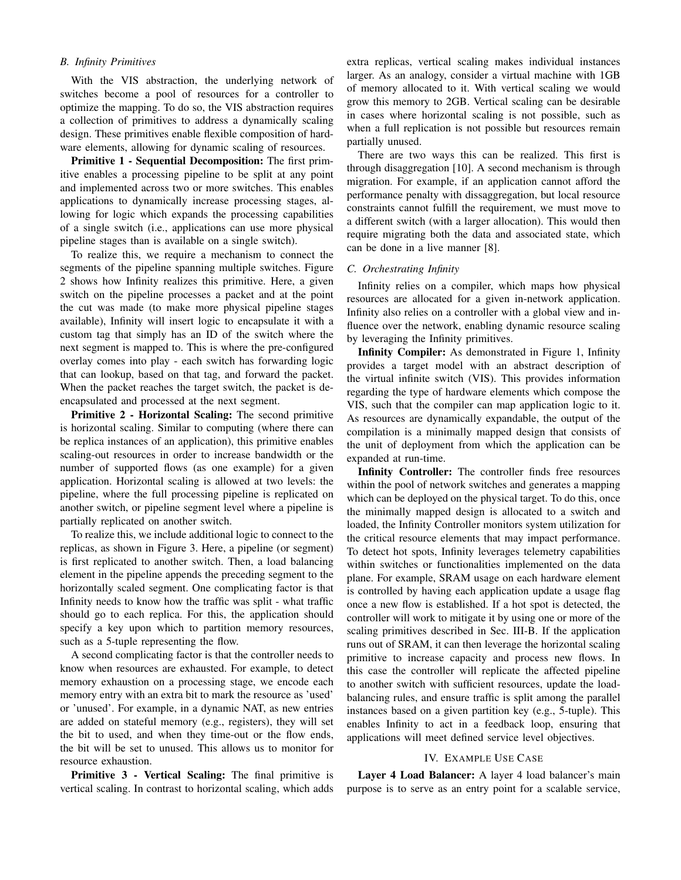## *B. Infinity Primitives*

With the VIS abstraction, the underlying network of switches become a pool of resources for a controller to optimize the mapping. To do so, the VIS abstraction requires a collection of primitives to address a dynamically scaling design. These primitives enable flexible composition of hardware elements, allowing for dynamic scaling of resources.

Primitive 1 - Sequential Decomposition: The first primitive enables a processing pipeline to be split at any point and implemented across two or more switches. This enables applications to dynamically increase processing stages, allowing for logic which expands the processing capabilities of a single switch (i.e., applications can use more physical pipeline stages than is available on a single switch).

To realize this, we require a mechanism to connect the segments of the pipeline spanning multiple switches. Figure 2 shows how Infinity realizes this primitive. Here, a given switch on the pipeline processes a packet and at the point the cut was made (to make more physical pipeline stages available), Infinity will insert logic to encapsulate it with a custom tag that simply has an ID of the switch where the next segment is mapped to. This is where the pre-configured overlay comes into play - each switch has forwarding logic that can lookup, based on that tag, and forward the packet. When the packet reaches the target switch, the packet is deencapsulated and processed at the next segment.

Primitive 2 - Horizontal Scaling: The second primitive is horizontal scaling. Similar to computing (where there can be replica instances of an application), this primitive enables scaling-out resources in order to increase bandwidth or the number of supported flows (as one example) for a given application. Horizontal scaling is allowed at two levels: the pipeline, where the full processing pipeline is replicated on another switch, or pipeline segment level where a pipeline is partially replicated on another switch.

To realize this, we include additional logic to connect to the replicas, as shown in Figure 3. Here, a pipeline (or segment) is first replicated to another switch. Then, a load balancing element in the pipeline appends the preceding segment to the horizontally scaled segment. One complicating factor is that Infinity needs to know how the traffic was split - what traffic should go to each replica. For this, the application should specify a key upon which to partition memory resources, such as a 5-tuple representing the flow.

A second complicating factor is that the controller needs to know when resources are exhausted. For example, to detect memory exhaustion on a processing stage, we encode each memory entry with an extra bit to mark the resource as 'used' or 'unused'. For example, in a dynamic NAT, as new entries are added on stateful memory (e.g., registers), they will set the bit to used, and when they time-out or the flow ends, the bit will be set to unused. This allows us to monitor for resource exhaustion.

Primitive 3 - Vertical Scaling: The final primitive is vertical scaling. In contrast to horizontal scaling, which adds

extra replicas, vertical scaling makes individual instances larger. As an analogy, consider a virtual machine with 1GB of memory allocated to it. With vertical scaling we would grow this memory to 2GB. Vertical scaling can be desirable in cases where horizontal scaling is not possible, such as when a full replication is not possible but resources remain partially unused.

There are two ways this can be realized. This first is through disaggregation [10]. A second mechanism is through migration. For example, if an application cannot afford the performance penalty with dissaggregation, but local resource constraints cannot fulfill the requirement, we must move to a different switch (with a larger allocation). This would then require migrating both the data and associated state, which can be done in a live manner [8].

### *C. Orchestrating Infinity*

Infinity relies on a compiler, which maps how physical resources are allocated for a given in-network application. Infinity also relies on a controller with a global view and influence over the network, enabling dynamic resource scaling by leveraging the Infinity primitives.

Infinity Compiler: As demonstrated in Figure 1, Infinity provides a target model with an abstract description of the virtual infinite switch (VIS). This provides information regarding the type of hardware elements which compose the VIS, such that the compiler can map application logic to it. As resources are dynamically expandable, the output of the compilation is a minimally mapped design that consists of the unit of deployment from which the application can be expanded at run-time.

Infinity Controller: The controller finds free resources within the pool of network switches and generates a mapping which can be deployed on the physical target. To do this, once the minimally mapped design is allocated to a switch and loaded, the Infinity Controller monitors system utilization for the critical resource elements that may impact performance. To detect hot spots, Infinity leverages telemetry capabilities within switches or functionalities implemented on the data plane. For example, SRAM usage on each hardware element is controlled by having each application update a usage flag once a new flow is established. If a hot spot is detected, the controller will work to mitigate it by using one or more of the scaling primitives described in Sec. III-B. If the application runs out of SRAM, it can then leverage the horizontal scaling primitive to increase capacity and process new flows. In this case the controller will replicate the affected pipeline to another switch with sufficient resources, update the loadbalancing rules, and ensure traffic is split among the parallel instances based on a given partition key (e.g., 5-tuple). This enables Infinity to act in a feedback loop, ensuring that applications will meet defined service level objectives.

#### IV. EXAMPLE USE CASE

Layer 4 Load Balancer: A layer 4 load balancer's main purpose is to serve as an entry point for a scalable service,